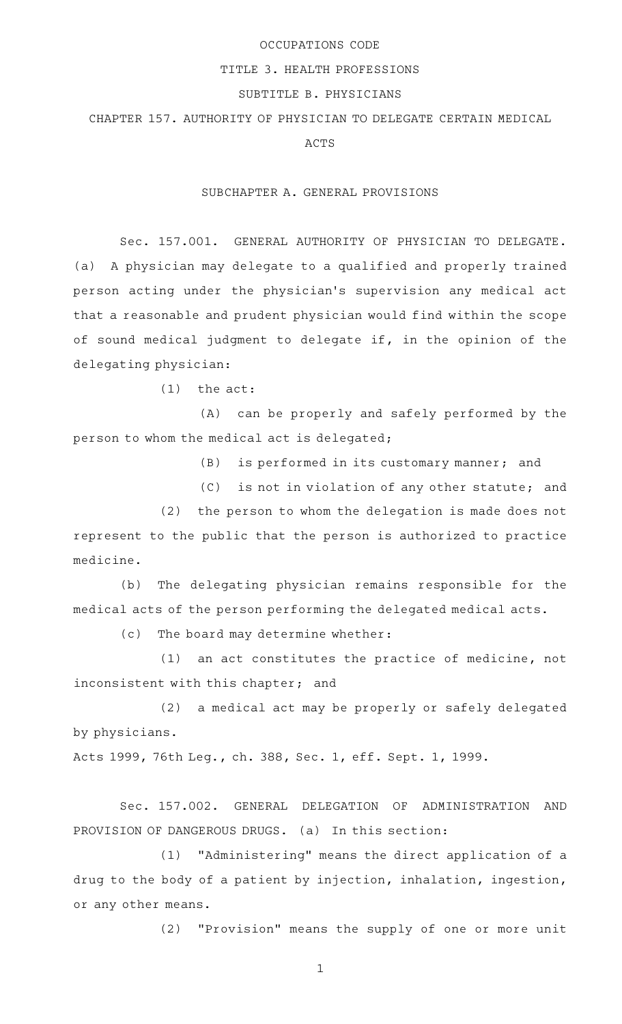### OCCUPATIONS CODE

## TITLE 3. HEALTH PROFESSIONS

# SUBTITLE B. PHYSICIANS

# CHAPTER 157. AUTHORITY OF PHYSICIAN TO DELEGATE CERTAIN MEDICAL

ACTS

#### SUBCHAPTER A. GENERAL PROVISIONS

Sec. 157.001. GENERAL AUTHORITY OF PHYSICIAN TO DELEGATE. (a) A physician may delegate to a qualified and properly trained person acting under the physician's supervision any medical act that a reasonable and prudent physician would find within the scope of sound medical judgment to delegate if, in the opinion of the delegating physician:

 $(1)$  the act:

(A) can be properly and safely performed by the person to whom the medical act is delegated;

 $(B)$  is performed in its customary manner; and

(C) is not in violation of any other statute; and

 $(2)$  the person to whom the delegation is made does not represent to the public that the person is authorized to practice medicine.

(b) The delegating physician remains responsible for the medical acts of the person performing the delegated medical acts.

 $(c)$  The board may determine whether:

 $(1)$  an act constitutes the practice of medicine, not inconsistent with this chapter; and

(2) a medical act may be properly or safely delegated by physicians.

Acts 1999, 76th Leg., ch. 388, Sec. 1, eff. Sept. 1, 1999.

Sec. 157.002. GENERAL DELEGATION OF ADMINISTRATION AND PROVISION OF DANGEROUS DRUGS. (a) In this section:

(1) "Administering" means the direct application of a drug to the body of a patient by injection, inhalation, ingestion, or any other means.

(2) "Provision" means the supply of one or more unit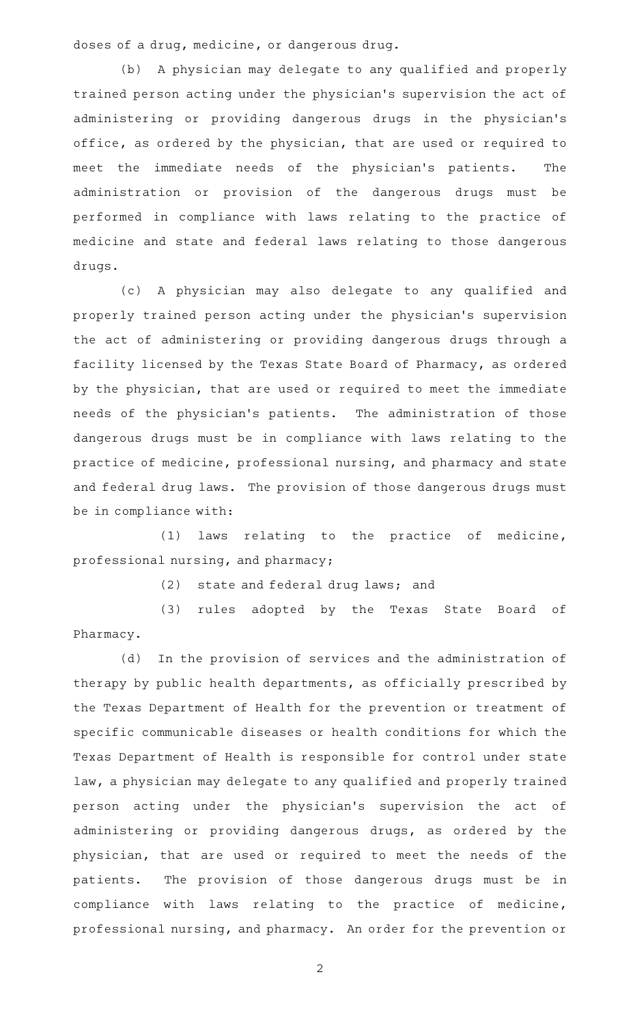doses of a drug, medicine, or dangerous drug.

(b) A physician may delegate to any qualified and properly trained person acting under the physician 's supervision the act of administering or providing dangerous drugs in the physician 's office, as ordered by the physician, that are used or required to meet the immediate needs of the physician's patients. The administration or provision of the dangerous drugs must be performed in compliance with laws relating to the practice of medicine and state and federal laws relating to those dangerous drugs.

(c)AAA physician may also delegate to any qualified and properly trained person acting under the physician 's supervision the act of administering or providing dangerous drugs through a facility licensed by the Texas State Board of Pharmacy, as ordered by the physician, that are used or required to meet the immediate needs of the physician 's patients. The administration of those dangerous drugs must be in compliance with laws relating to the practice of medicine, professional nursing, and pharmacy and state and federal drug laws. The provision of those dangerous drugs must be in compliance with:

 $(1)$  laws relating to the practice of medicine, professional nursing, and pharmacy;

(2) state and federal drug laws; and

(3) rules adopted by the Texas State Board of Pharmacy.

(d) In the provision of services and the administration of therapy by public health departments, as officially prescribed by the Texas Department of Health for the prevention or treatment of specific communicable diseases or health conditions for which the Texas Department of Health is responsible for control under state law, a physician may delegate to any qualified and properly trained person acting under the physician's supervision the act of administering or providing dangerous drugs, as ordered by the physician, that are used or required to meet the needs of the patients. The provision of those dangerous drugs must be in compliance with laws relating to the practice of medicine, professional nursing, and pharmacy. An order for the prevention or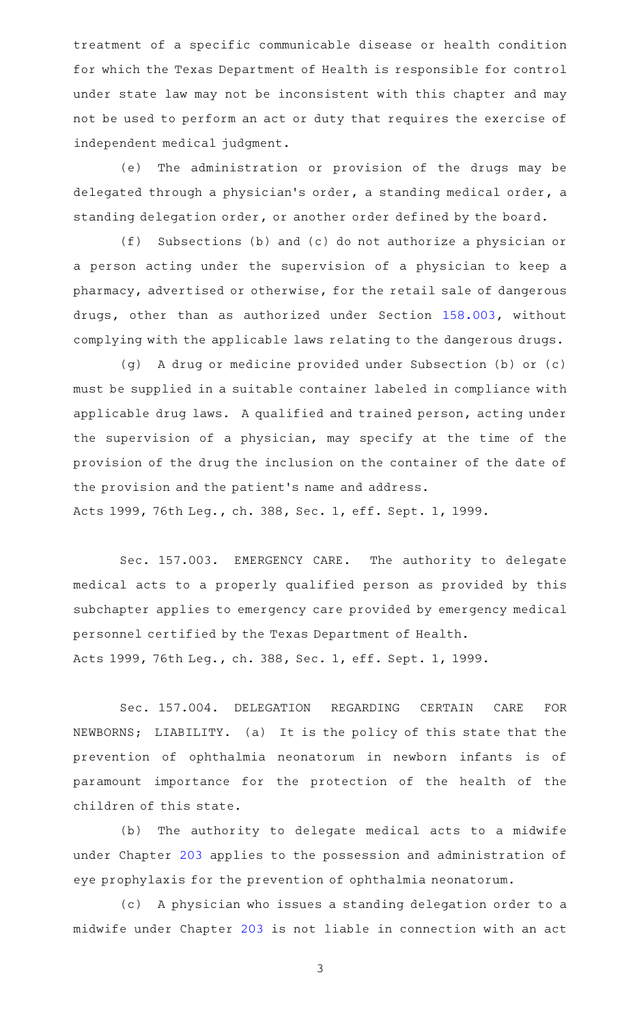treatment of a specific communicable disease or health condition for which the Texas Department of Health is responsible for control under state law may not be inconsistent with this chapter and may not be used to perform an act or duty that requires the exercise of independent medical judgment.

(e) The administration or provision of the drugs may be delegated through a physician 's order, a standing medical order, a standing delegation order, or another order defined by the board.

(f) Subsections (b) and (c) do not authorize a physician or a person acting under the supervision of a physician to keep a pharmacy, advertised or otherwise, for the retail sale of dangerous drugs, other than as authorized under Section [158.003,](http://www.statutes.legis.state.tx.us/GetStatute.aspx?Code=OC&Value=158.003) without complying with the applicable laws relating to the dangerous drugs.

(g)AAA drug or medicine provided under Subsection (b) or (c) must be supplied in a suitable container labeled in compliance with applicable drug laws. A qualified and trained person, acting under the supervision of a physician, may specify at the time of the provision of the drug the inclusion on the container of the date of the provision and the patient 's name and address.

Acts 1999, 76th Leg., ch. 388, Sec. 1, eff. Sept. 1, 1999.

Sec. 157.003. EMERGENCY CARE. The authority to delegate medical acts to a properly qualified person as provided by this subchapter applies to emergency care provided by emergency medical personnel certified by the Texas Department of Health. Acts 1999, 76th Leg., ch. 388, Sec. 1, eff. Sept. 1, 1999.

Sec. 157.004. DELEGATION REGARDING CERTAIN CARE FOR NEWBORNS; LIABILITY. (a) It is the policy of this state that the prevention of ophthalmia neonatorum in newborn infants is of paramount importance for the protection of the health of the children of this state.

(b) The authority to delegate medical acts to a midwife under Chapter [203](http://www.statutes.legis.state.tx.us/GetStatute.aspx?Code=OC&Value=203) applies to the possession and administration of eye prophylaxis for the prevention of ophthalmia neonatorum.

(c) A physician who issues a standing delegation order to a midwife under Chapter [203](http://www.statutes.legis.state.tx.us/GetStatute.aspx?Code=OC&Value=203) is not liable in connection with an act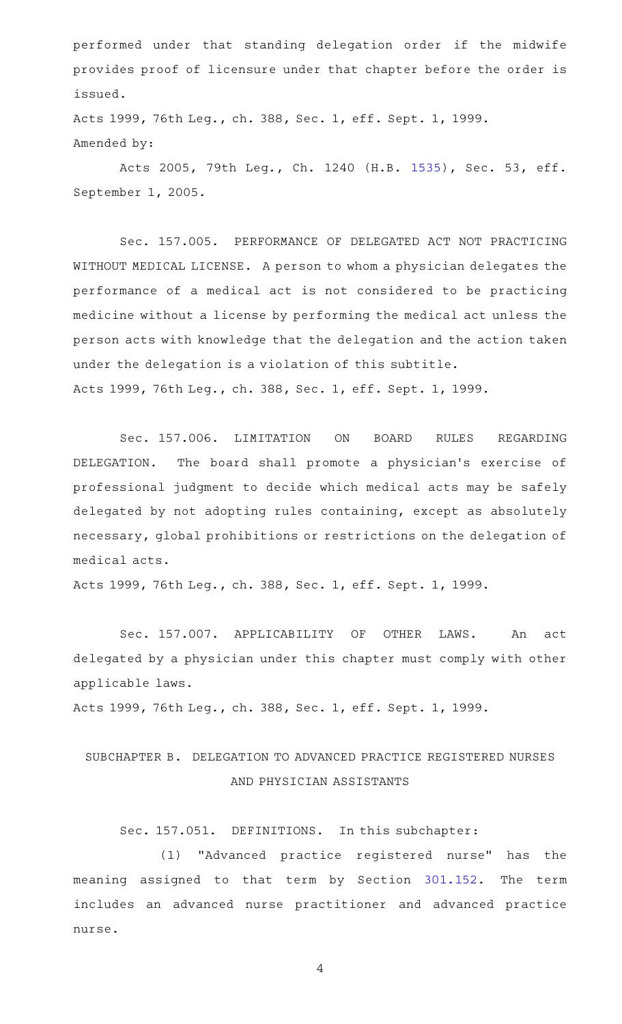performed under that standing delegation order if the midwife provides proof of licensure under that chapter before the order is issued.

Acts 1999, 76th Leg., ch. 388, Sec. 1, eff. Sept. 1, 1999. Amended by:

Acts 2005, 79th Leg., Ch. 1240 (H.B. [1535](http://www.legis.state.tx.us/tlodocs/79R/billtext/html/HB01535F.HTM)), Sec. 53, eff. September 1, 2005.

Sec. 157.005. PERFORMANCE OF DELEGATED ACT NOT PRACTICING WITHOUT MEDICAL LICENSE. A person to whom a physician delegates the performance of a medical act is not considered to be practicing medicine without a license by performing the medical act unless the person acts with knowledge that the delegation and the action taken under the delegation is a violation of this subtitle. Acts 1999, 76th Leg., ch. 388, Sec. 1, eff. Sept. 1, 1999.

Sec. 157.006. LIMITATION ON BOARD RULES REGARDING DELEGATION. The board shall promote a physician's exercise of professional judgment to decide which medical acts may be safely delegated by not adopting rules containing, except as absolutely necessary, global prohibitions or restrictions on the delegation of medical acts.

Acts 1999, 76th Leg., ch. 388, Sec. 1, eff. Sept. 1, 1999.

Sec. 157.007. APPLICABILITY OF OTHER LAWS. An act delegated by a physician under this chapter must comply with other applicable laws.

Acts 1999, 76th Leg., ch. 388, Sec. 1, eff. Sept. 1, 1999.

# SUBCHAPTER B. DELEGATION TO ADVANCED PRACTICE REGISTERED NURSES AND PHYSICIAN ASSISTANTS

Sec. 157.051. DEFINITIONS. In this subchapter:

(1) "Advanced practice registered nurse" has the meaning assigned to that term by Section [301.152](http://www.statutes.legis.state.tx.us/GetStatute.aspx?Code=OC&Value=301.152). The term includes an advanced nurse practitioner and advanced practice nurse.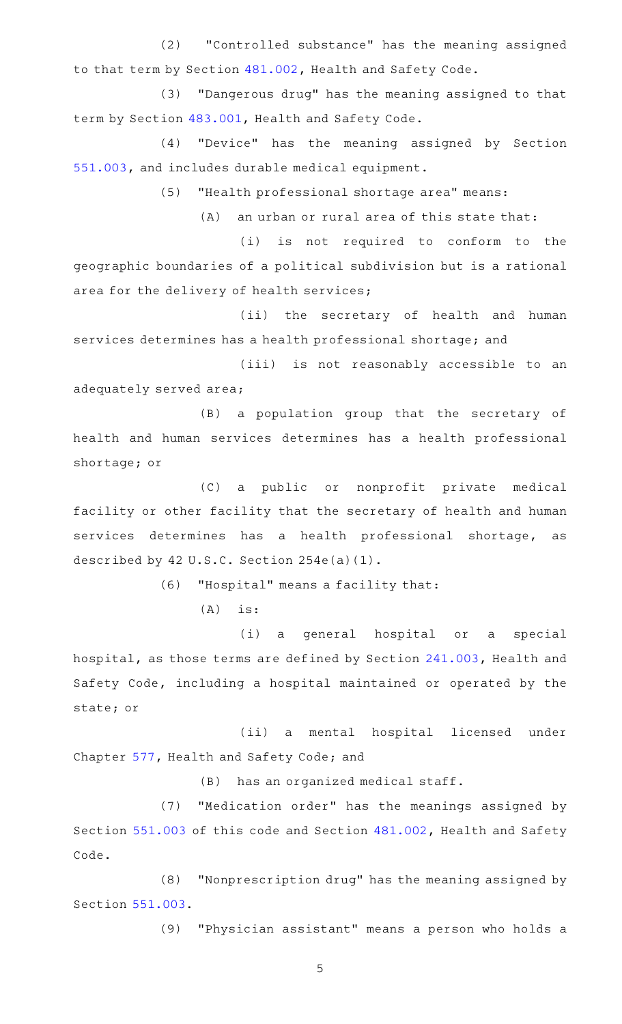(2) "Controlled substance" has the meaning assigned to that term by Section [481.002](http://www.statutes.legis.state.tx.us/GetStatute.aspx?Code=HS&Value=481.002), Health and Safety Code.

(3) "Dangerous drug" has the meaning assigned to that term by Section [483.001](http://www.statutes.legis.state.tx.us/GetStatute.aspx?Code=HS&Value=483.001), Health and Safety Code.

(4) "Device" has the meaning assigned by Section [551.003,](http://www.statutes.legis.state.tx.us/GetStatute.aspx?Code=OC&Value=551.003) and includes durable medical equipment.

(5) "Health professional shortage area" means:

 $(A)$  an urban or rural area of this state that:

(i) is not required to conform to the geographic boundaries of a political subdivision but is a rational area for the delivery of health services;

(ii) the secretary of health and human services determines has a health professional shortage; and

(iii) is not reasonably accessible to an adequately served area;

(B) a population group that the secretary of health and human services determines has a health professional shortage; or

(C) a public or nonprofit private medical facility or other facility that the secretary of health and human services determines has a health professional shortage, as described by 42 U.S.C. Section 254e(a)(1).

(6) "Hospital" means a facility that:

 $(A)$  is:

(i) a general hospital or a special hospital, as those terms are defined by Section [241.003](http://www.statutes.legis.state.tx.us/GetStatute.aspx?Code=HS&Value=241.003), Health and Safety Code, including a hospital maintained or operated by the state; or

(ii) a mental hospital licensed under Chapter [577,](http://www.statutes.legis.state.tx.us/GetStatute.aspx?Code=HS&Value=577) Health and Safety Code; and

 $(B)$  has an organized medical staff.

(7) "Medication order" has the meanings assigned by Section [551.003](http://www.statutes.legis.state.tx.us/GetStatute.aspx?Code=OC&Value=551.003) of this code and Section [481.002](http://www.statutes.legis.state.tx.us/GetStatute.aspx?Code=HS&Value=481.002), Health and Safety Code.

(8) "Nonprescription drug" has the meaning assigned by Section [551.003.](http://www.statutes.legis.state.tx.us/GetStatute.aspx?Code=OC&Value=551.003)

(9) "Physician assistant" means a person who holds a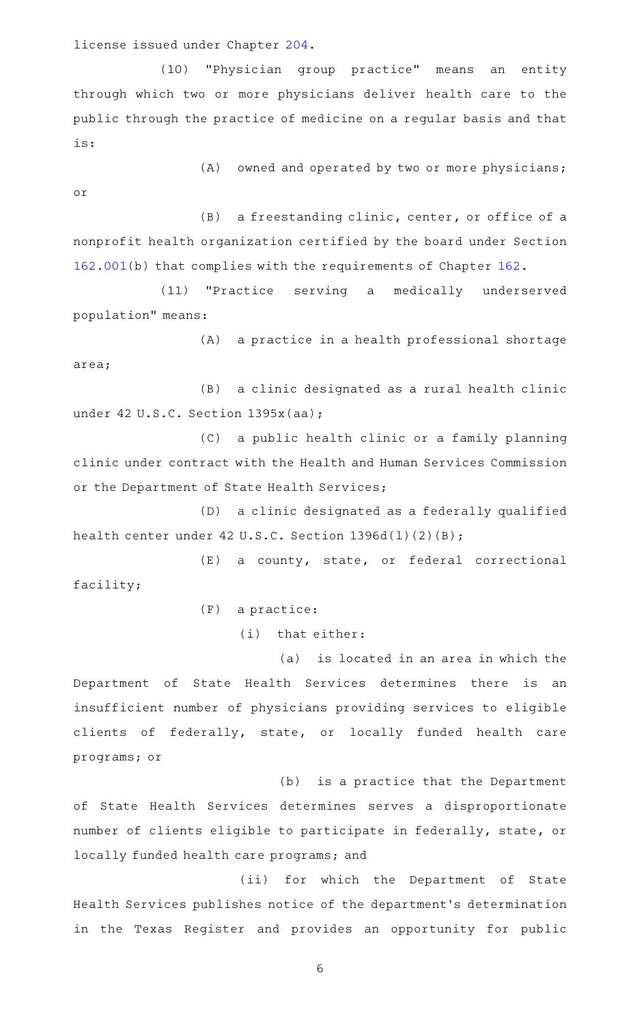license issued under Chapter [204](http://www.statutes.legis.state.tx.us/GetStatute.aspx?Code=OC&Value=204).

(10) "Physician group practice" means an entity through which two or more physicians deliver health care to the public through the practice of medicine on a regular basis and that is:

or

 $(A)$  owned and operated by two or more physicians;

(B) a freestanding clinic, center, or office of a nonprofit health organization certified by the board under Section [162.001\(](http://www.statutes.legis.state.tx.us/GetStatute.aspx?Code=OC&Value=162.001)b) that complies with the requirements of Chapter [162](http://www.statutes.legis.state.tx.us/GetStatute.aspx?Code=OC&Value=162).

(11) "Practice serving a medically underserved population" means:

(A) a practice in a health professional shortage area;

(B) a clinic designated as a rural health clinic under 42 U.S.C. Section 1395x(aa);

(C) a public health clinic or a family planning clinic under contract with the Health and Human Services Commission or the Department of State Health Services;

(D) a clinic designated as a federally qualified health center under 42 U.S.C. Section 1396d(1)(2)(B);

(E) a county, state, or federal correctional facility;

 $(F)$  a practice:

 $(i)$  that either:

(a) is located in an area in which the Department of State Health Services determines there is an insufficient number of physicians providing services to eligible clients of federally, state, or locally funded health care programs; or

(b) is a practice that the Department of State Health Services determines serves a disproportionate number of clients eligible to participate in federally, state, or locally funded health care programs; and

(ii) for which the Department of State Health Services publishes notice of the department 's determination in the Texas Register and provides an opportunity for public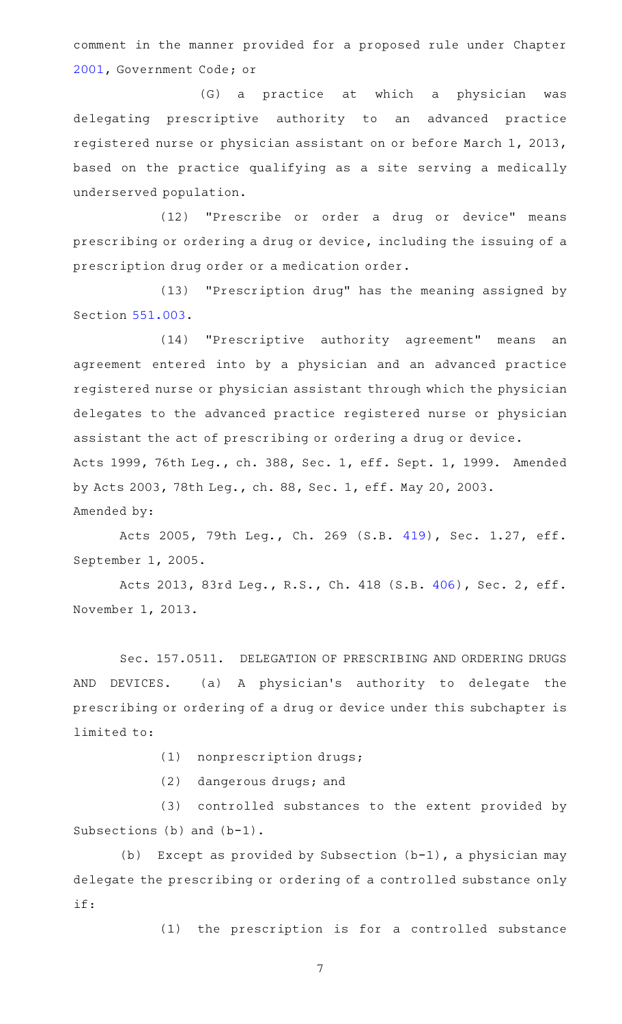comment in the manner provided for a proposed rule under Chapter [2001](http://www.statutes.legis.state.tx.us/GetStatute.aspx?Code=GV&Value=2001), Government Code; or

(G) a practice at which a physician was delegating prescriptive authority to an advanced practice registered nurse or physician assistant on or before March 1, 2013, based on the practice qualifying as a site serving a medically underserved population.

(12) "Prescribe or order a drug or device" means prescribing or ordering a drug or device, including the issuing of a prescription drug order or a medication order.

(13) "Prescription drug" has the meaning assigned by Section [551.003.](http://www.statutes.legis.state.tx.us/GetStatute.aspx?Code=OC&Value=551.003)

(14) "Prescriptive authority agreement" means an agreement entered into by a physician and an advanced practice registered nurse or physician assistant through which the physician delegates to the advanced practice registered nurse or physician assistant the act of prescribing or ordering a drug or device. Acts 1999, 76th Leg., ch. 388, Sec. 1, eff. Sept. 1, 1999. Amended by Acts 2003, 78th Leg., ch. 88, Sec. 1, eff. May 20, 2003. Amended by:

Acts 2005, 79th Leg., Ch. 269 (S.B. [419](http://www.legis.state.tx.us/tlodocs/79R/billtext/html/SB00419F.HTM)), Sec. 1.27, eff. September 1, 2005.

Acts 2013, 83rd Leg., R.S., Ch. 418 (S.B. [406](http://www.legis.state.tx.us/tlodocs/83R/billtext/html/SB00406F.HTM)), Sec. 2, eff. November 1, 2013.

Sec. 157.0511. DELEGATION OF PRESCRIBING AND ORDERING DRUGS AND DEVICES. (a) A physician's authority to delegate the prescribing or ordering of a drug or device under this subchapter is limited to:

(1) nonprescription drugs;

 $(2)$  dangerous drugs; and

(3) controlled substances to the extent provided by Subsections (b) and (b-1).

(b) Except as provided by Subsection  $(b-1)$ , a physician may delegate the prescribing or ordering of a controlled substance only if:

(1) the prescription is for a controlled substance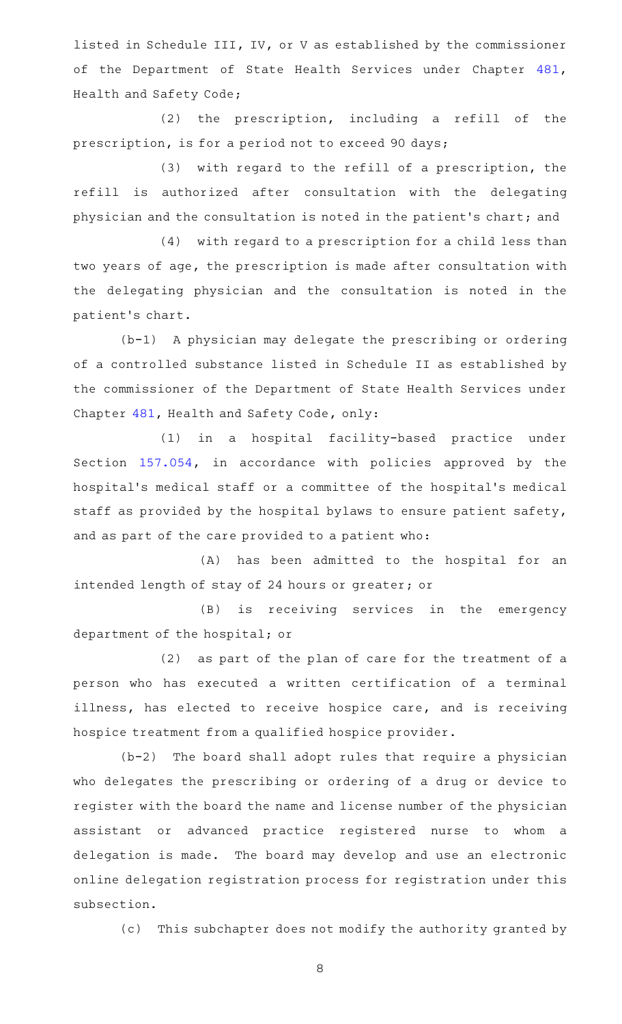listed in Schedule III, IV, or V as established by the commissioner of the Department of State Health Services under Chapter [481](http://www.statutes.legis.state.tx.us/GetStatute.aspx?Code=HS&Value=481), Health and Safety Code;

 $(2)$  the prescription, including a refill of the prescription, is for a period not to exceed 90 days;

(3) with regard to the refill of a prescription, the refill is authorized after consultation with the delegating physician and the consultation is noted in the patient 's chart; and

(4) with regard to a prescription for a child less than two years of age, the prescription is made after consultation with the delegating physician and the consultation is noted in the patient 's chart.

 $(b-1)$  A physician may delegate the prescribing or ordering of a controlled substance listed in Schedule II as established by the commissioner of the Department of State Health Services under Chapter [481,](http://www.statutes.legis.state.tx.us/GetStatute.aspx?Code=HS&Value=481) Health and Safety Code, only:

(1) in a hospital facility-based practice under Section [157.054](http://www.statutes.legis.state.tx.us/GetStatute.aspx?Code=OC&Value=157.054), in accordance with policies approved by the hospital's medical staff or a committee of the hospital's medical staff as provided by the hospital bylaws to ensure patient safety, and as part of the care provided to a patient who:

(A) has been admitted to the hospital for an intended length of stay of 24 hours or greater; or

(B) is receiving services in the emergency department of the hospital; or

(2) as part of the plan of care for the treatment of a person who has executed a written certification of a terminal illness, has elected to receive hospice care, and is receiving hospice treatment from a qualified hospice provider.

 $(b-2)$  The board shall adopt rules that require a physician who delegates the prescribing or ordering of a drug or device to register with the board the name and license number of the physician assistant or advanced practice registered nurse to whom a delegation is made. The board may develop and use an electronic online delegation registration process for registration under this subsection.

(c) This subchapter does not modify the authority granted by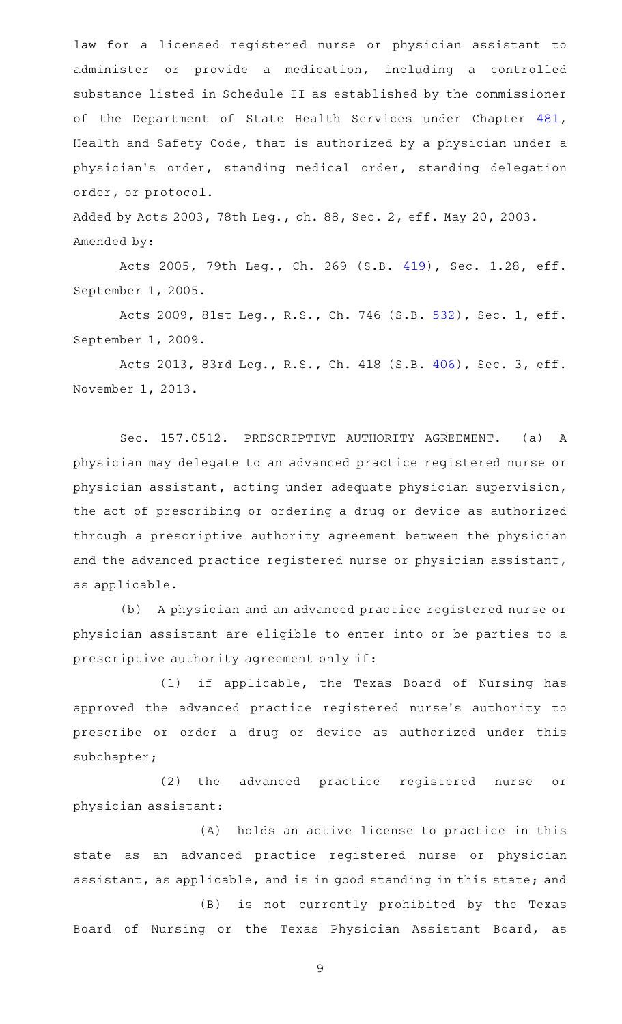law for a licensed registered nurse or physician assistant to administer or provide a medication, including a controlled substance listed in Schedule II as established by the commissioner of the Department of State Health Services under Chapter [481](http://www.statutes.legis.state.tx.us/GetStatute.aspx?Code=HS&Value=481), Health and Safety Code, that is authorized by a physician under a physician 's order, standing medical order, standing delegation order, or protocol.

Added by Acts 2003, 78th Leg., ch. 88, Sec. 2, eff. May 20, 2003. Amended by:

Acts 2005, 79th Leg., Ch. 269 (S.B. [419](http://www.legis.state.tx.us/tlodocs/79R/billtext/html/SB00419F.HTM)), Sec. 1.28, eff. September 1, 2005.

Acts 2009, 81st Leg., R.S., Ch. 746 (S.B. [532](http://www.legis.state.tx.us/tlodocs/81R/billtext/html/SB00532F.HTM)), Sec. 1, eff. September 1, 2009.

Acts 2013, 83rd Leg., R.S., Ch. 418 (S.B. [406](http://www.legis.state.tx.us/tlodocs/83R/billtext/html/SB00406F.HTM)), Sec. 3, eff. November 1, 2013.

Sec. 157.0512. PRESCRIPTIVE AUTHORITY AGREEMENT. (a) A physician may delegate to an advanced practice registered nurse or physician assistant, acting under adequate physician supervision, the act of prescribing or ordering a drug or device as authorized through a prescriptive authority agreement between the physician and the advanced practice registered nurse or physician assistant, as applicable.

(b) A physician and an advanced practice registered nurse or physician assistant are eligible to enter into or be parties to a prescriptive authority agreement only if:

 $(1)$  if applicable, the Texas Board of Nursing has approved the advanced practice registered nurse 's authority to prescribe or order a drug or device as authorized under this subchapter;

(2) the advanced practice registered nurse or physician assistant:

(A) holds an active license to practice in this state as an advanced practice registered nurse or physician assistant, as applicable, and is in good standing in this state; and

(B) is not currently prohibited by the Texas Board of Nursing or the Texas Physician Assistant Board, as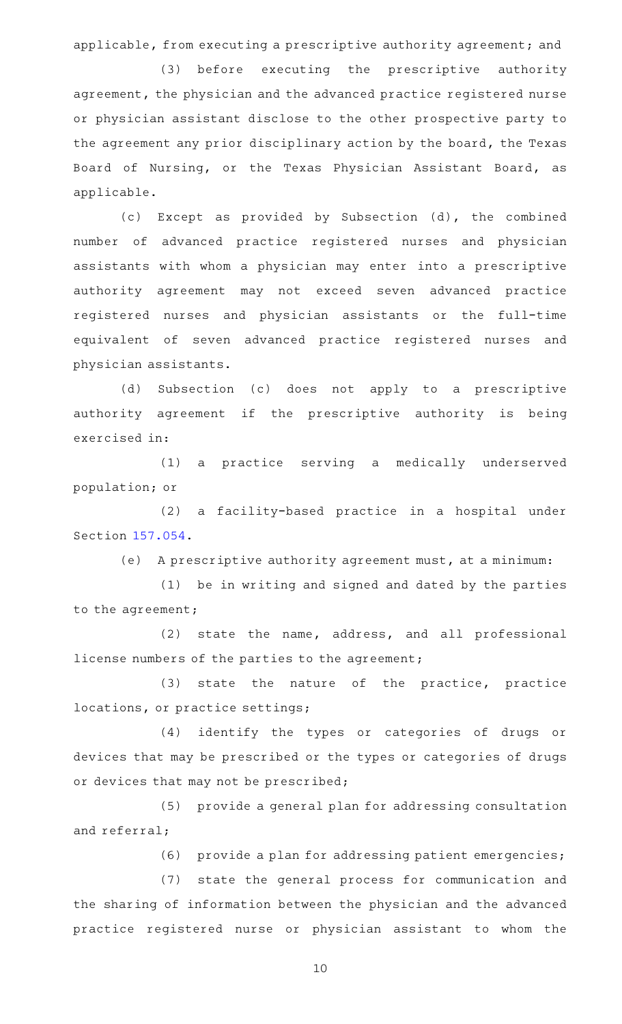applicable, from executing a prescriptive authority agreement; and

(3) before executing the prescriptive authority agreement, the physician and the advanced practice registered nurse or physician assistant disclose to the other prospective party to the agreement any prior disciplinary action by the board, the Texas Board of Nursing, or the Texas Physician Assistant Board, as applicable.

(c) Except as provided by Subsection (d), the combined number of advanced practice registered nurses and physician assistants with whom a physician may enter into a prescriptive authority agreement may not exceed seven advanced practice registered nurses and physician assistants or the full-time equivalent of seven advanced practice registered nurses and physician assistants.

(d) Subsection (c) does not apply to a prescriptive authority agreement if the prescriptive authority is being exercised in:

(1) a practice serving a medically underserved population; or

(2) a facility-based practice in a hospital under Section [157.054.](http://www.statutes.legis.state.tx.us/GetStatute.aspx?Code=OC&Value=157.054)

(e) A prescriptive authority agreement must, at a minimum:

(1) be in writing and signed and dated by the parties to the agreement;

 $(2)$  state the name, address, and all professional license numbers of the parties to the agreement;

(3) state the nature of the practice, practice locations, or practice settings;

(4) identify the types or categories of drugs or devices that may be prescribed or the types or categories of drugs or devices that may not be prescribed;

(5) provide a general plan for addressing consultation and referral;

(6) provide a plan for addressing patient emergencies;

(7) state the general process for communication and the sharing of information between the physician and the advanced practice registered nurse or physician assistant to whom the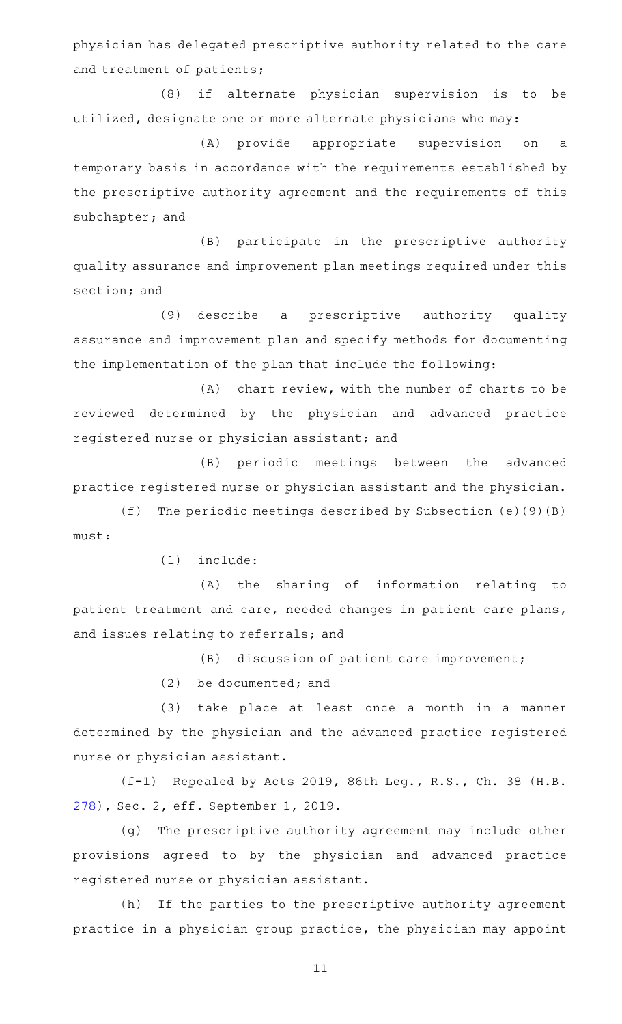physician has delegated prescriptive authority related to the care and treatment of patients;

(8) if alternate physician supervision is to be utilized, designate one or more alternate physicians who may:

(A) provide appropriate supervision on a temporary basis in accordance with the requirements established by the prescriptive authority agreement and the requirements of this subchapter; and

(B) participate in the prescriptive authority quality assurance and improvement plan meetings required under this section; and

(9) describe a prescriptive authority quality assurance and improvement plan and specify methods for documenting the implementation of the plan that include the following:

 $(A)$  chart review, with the number of charts to be reviewed determined by the physician and advanced practice registered nurse or physician assistant; and

(B) periodic meetings between the advanced practice registered nurse or physician assistant and the physician.

(f) The periodic meetings described by Subsection  $(e)(9)(B)$ must:

 $(1)$  include:

(A) the sharing of information relating to patient treatment and care, needed changes in patient care plans, and issues relating to referrals; and

(B) discussion of patient care improvement;

 $(2)$  be documented; and

(3) take place at least once a month in a manner determined by the physician and the advanced practice registered nurse or physician assistant.

(f-1) Repealed by Acts 2019, 86th Leg., R.S., Ch. 38 (H.B. [278\)](http://www.legis.state.tx.us/tlodocs/86R/billtext/html/HB00278F.HTM), Sec. 2, eff. September 1, 2019.

(g) The prescriptive authority agreement may include other provisions agreed to by the physician and advanced practice registered nurse or physician assistant.

(h) If the parties to the prescriptive authority agreement practice in a physician group practice, the physician may appoint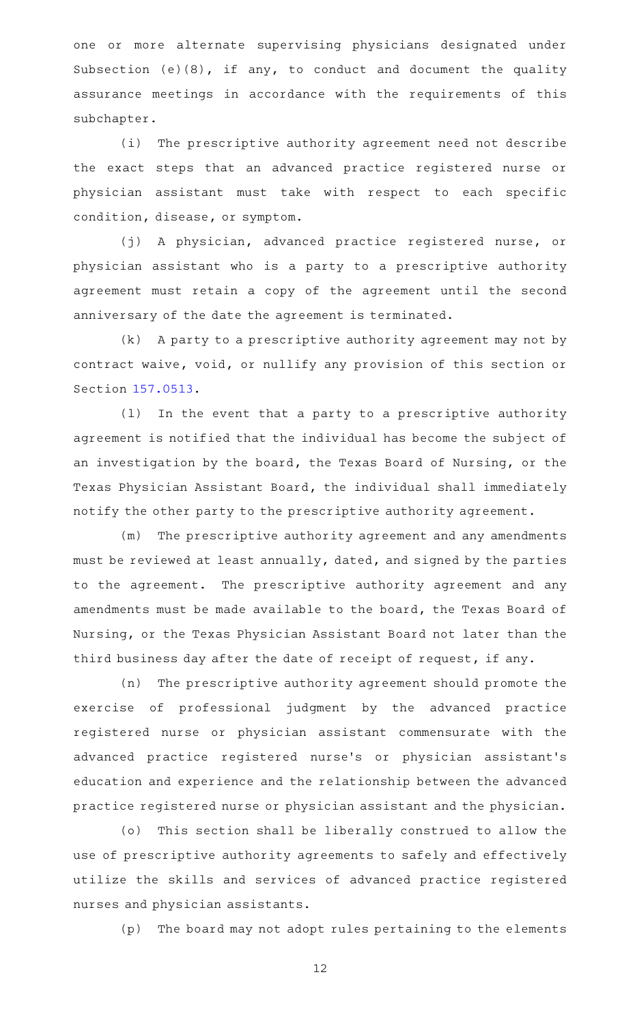one or more alternate supervising physicians designated under Subsection (e)(8), if any, to conduct and document the quality assurance meetings in accordance with the requirements of this subchapter.

(i) The prescriptive authority agreement need not describe the exact steps that an advanced practice registered nurse or physician assistant must take with respect to each specific condition, disease, or symptom.

(j) A physician, advanced practice registered nurse, or physician assistant who is a party to a prescriptive authority agreement must retain a copy of the agreement until the second anniversary of the date the agreement is terminated.

(k) A party to a prescriptive authority agreement may not by contract waive, void, or nullify any provision of this section or Section [157.0513](http://www.statutes.legis.state.tx.us/GetStatute.aspx?Code=OC&Value=157.0513).

(1) In the event that a party to a prescriptive authority agreement is notified that the individual has become the subject of an investigation by the board, the Texas Board of Nursing, or the Texas Physician Assistant Board, the individual shall immediately notify the other party to the prescriptive authority agreement.

(m) The prescriptive authority agreement and any amendments must be reviewed at least annually, dated, and signed by the parties to the agreement. The prescriptive authority agreement and any amendments must be made available to the board, the Texas Board of Nursing, or the Texas Physician Assistant Board not later than the third business day after the date of receipt of request, if any.

(n) The prescriptive authority agreement should promote the exercise of professional judgment by the advanced practice registered nurse or physician assistant commensurate with the advanced practice registered nurse 's or physician assistant 's education and experience and the relationship between the advanced practice registered nurse or physician assistant and the physician.

(o) This section shall be liberally construed to allow the use of prescriptive authority agreements to safely and effectively utilize the skills and services of advanced practice registered nurses and physician assistants.

(p) The board may not adopt rules pertaining to the elements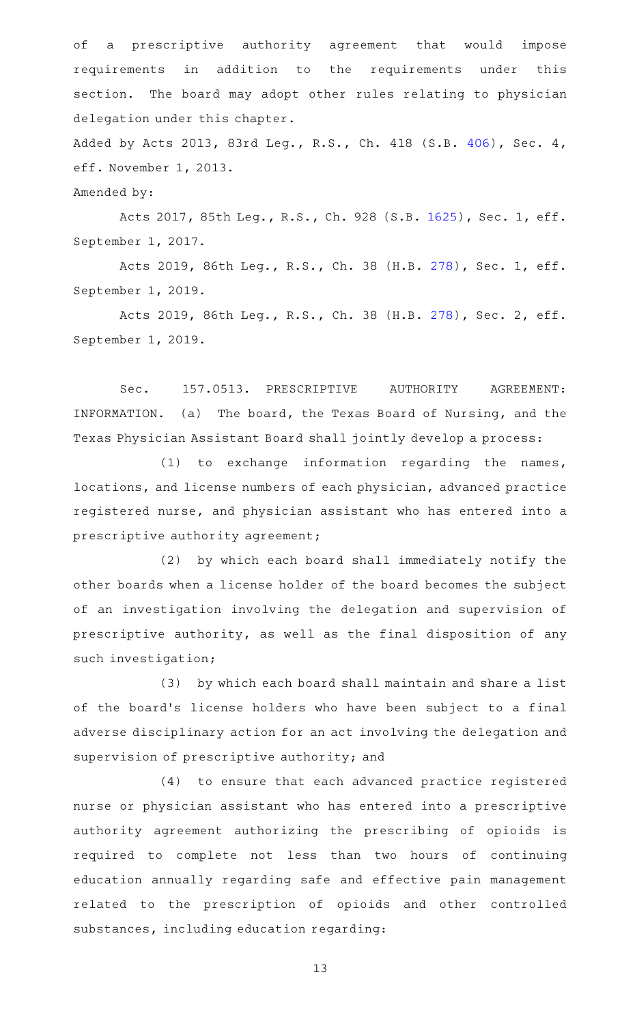of a prescriptive authority agreement that would impose requirements in addition to the requirements under this section. The board may adopt other rules relating to physician delegation under this chapter.

Added by Acts 2013, 83rd Leg., R.S., Ch. 418 (S.B. [406](http://www.legis.state.tx.us/tlodocs/83R/billtext/html/SB00406F.HTM)), Sec. 4, eff. November 1, 2013.

Amended by:

Acts 2017, 85th Leg., R.S., Ch. 928 (S.B. [1625](http://www.legis.state.tx.us/tlodocs/85R/billtext/html/SB01625F.HTM)), Sec. 1, eff. September 1, 2017.

Acts 2019, 86th Leg., R.S., Ch. 38 (H.B. [278](http://www.legis.state.tx.us/tlodocs/86R/billtext/html/HB00278F.HTM)), Sec. 1, eff. September 1, 2019.

Acts 2019, 86th Leg., R.S., Ch. 38 (H.B. [278](http://www.legis.state.tx.us/tlodocs/86R/billtext/html/HB00278F.HTM)), Sec. 2, eff. September 1, 2019.

Sec. 157.0513. PRESCRIPTIVE AUTHORITY AGREEMENT: INFORMATION. (a) The board, the Texas Board of Nursing, and the Texas Physician Assistant Board shall jointly develop a process:

 $(1)$  to exchange information regarding the names, locations, and license numbers of each physician, advanced practice registered nurse, and physician assistant who has entered into a prescriptive authority agreement;

(2) by which each board shall immediately notify the other boards when a license holder of the board becomes the subject of an investigation involving the delegation and supervision of prescriptive authority, as well as the final disposition of any such investigation;

(3) by which each board shall maintain and share a list of the board's license holders who have been subject to a final adverse disciplinary action for an act involving the delegation and supervision of prescriptive authority; and

(4) to ensure that each advanced practice registered nurse or physician assistant who has entered into a prescriptive authority agreement authorizing the prescribing of opioids is required to complete not less than two hours of continuing education annually regarding safe and effective pain management related to the prescription of opioids and other controlled substances, including education regarding: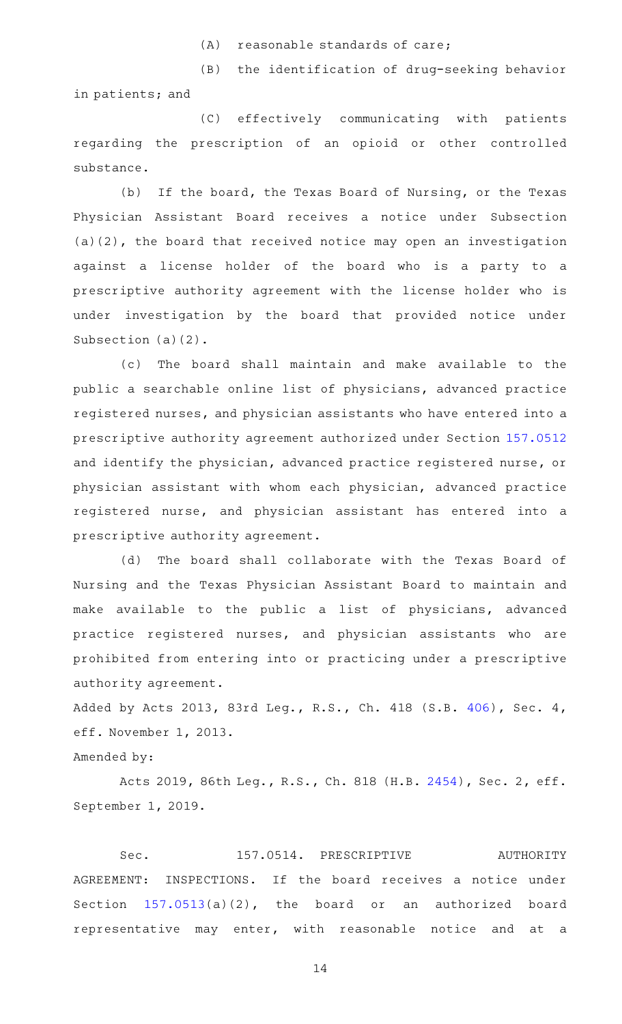$(A)$  reasonable standards of care;

(B) the identification of drug-seeking behavior

in patients; and

(C) effectively communicating with patients regarding the prescription of an opioid or other controlled substance.

(b) If the board, the Texas Board of Nursing, or the Texas Physician Assistant Board receives a notice under Subsection (a)(2), the board that received notice may open an investigation against a license holder of the board who is a party to a prescriptive authority agreement with the license holder who is under investigation by the board that provided notice under Subsection (a)(2).

(c) The board shall maintain and make available to the public a searchable online list of physicians, advanced practice registered nurses, and physician assistants who have entered into a prescriptive authority agreement authorized under Section [157.0512](http://www.statutes.legis.state.tx.us/GetStatute.aspx?Code=OC&Value=157.0512) and identify the physician, advanced practice registered nurse, or physician assistant with whom each physician, advanced practice registered nurse, and physician assistant has entered into a prescriptive authority agreement.

(d) The board shall collaborate with the Texas Board of Nursing and the Texas Physician Assistant Board to maintain and make available to the public a list of physicians, advanced practice registered nurses, and physician assistants who are prohibited from entering into or practicing under a prescriptive authority agreement.

Added by Acts 2013, 83rd Leg., R.S., Ch. 418 (S.B. [406](http://www.legis.state.tx.us/tlodocs/83R/billtext/html/SB00406F.HTM)), Sec. 4, eff. November 1, 2013.

# Amended by:

Acts 2019, 86th Leg., R.S., Ch. 818 (H.B. [2454](http://www.legis.state.tx.us/tlodocs/86R/billtext/html/HB02454F.HTM)), Sec. 2, eff. September 1, 2019.

Sec. 157.0514. PRESCRIPTIVE AUTHORITY AGREEMENT: INSPECTIONS. If the board receives a notice under Section [157.0513\(](http://www.statutes.legis.state.tx.us/GetStatute.aspx?Code=OC&Value=157.0513)a)(2), the board or an authorized board representative may enter, with reasonable notice and at a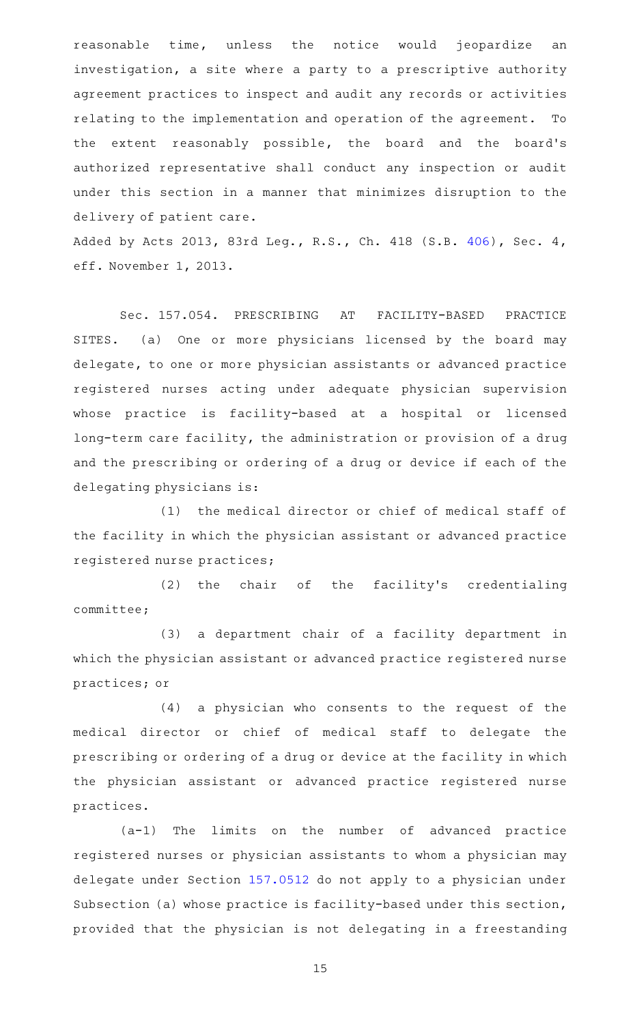reasonable time, unless the notice would jeopardize an investigation, a site where a party to a prescriptive authority agreement practices to inspect and audit any records or activities relating to the implementation and operation of the agreement. To the extent reasonably possible, the board and the board's authorized representative shall conduct any inspection or audit under this section in a manner that minimizes disruption to the delivery of patient care.

Added by Acts 2013, 83rd Leg., R.S., Ch. 418 (S.B. [406](http://www.legis.state.tx.us/tlodocs/83R/billtext/html/SB00406F.HTM)), Sec. 4, eff. November 1, 2013.

Sec. 157.054. PRESCRIBING AT FACILITY-BASED PRACTICE SITES. (a) One or more physicians licensed by the board may delegate, to one or more physician assistants or advanced practice registered nurses acting under adequate physician supervision whose practice is facility-based at a hospital or licensed long-term care facility, the administration or provision of a drug and the prescribing or ordering of a drug or device if each of the delegating physicians is:

(1) the medical director or chief of medical staff of the facility in which the physician assistant or advanced practice registered nurse practices;

(2) the chair of the facility's credentialing committee;

(3) a department chair of a facility department in which the physician assistant or advanced practice registered nurse practices; or

(4) a physician who consents to the request of the medical director or chief of medical staff to delegate the prescribing or ordering of a drug or device at the facility in which the physician assistant or advanced practice registered nurse practices.

 $(a-1)$  The limits on the number of advanced practice registered nurses or physician assistants to whom a physician may delegate under Section [157.0512](http://www.statutes.legis.state.tx.us/GetStatute.aspx?Code=OC&Value=157.0512) do not apply to a physician under Subsection (a) whose practice is facility-based under this section, provided that the physician is not delegating in a freestanding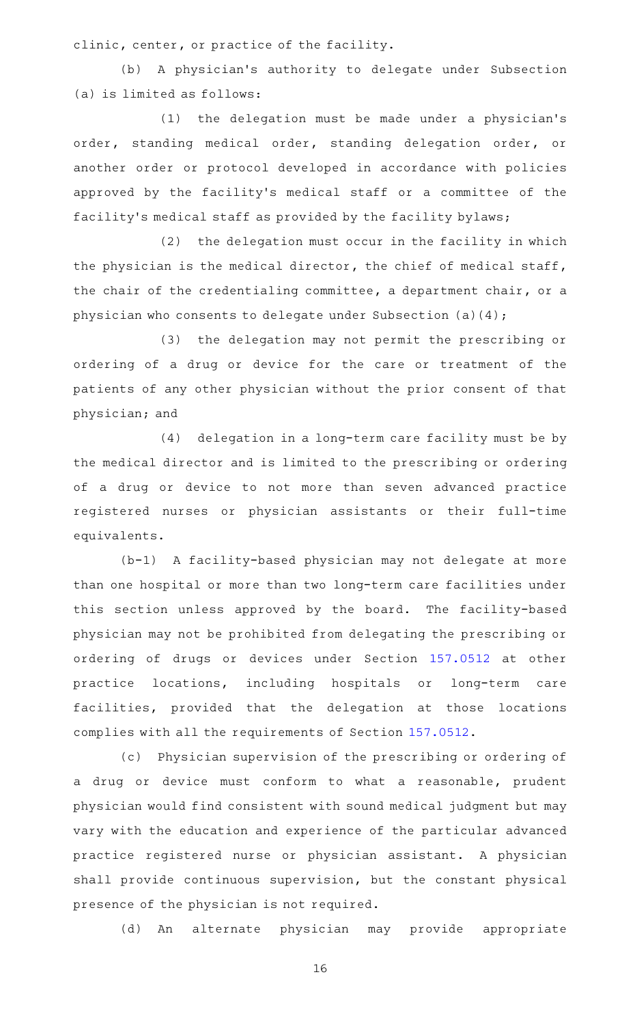clinic, center, or practice of the facility.

(b) A physician's authority to delegate under Subsection (a) is limited as follows:

 $(1)$  the delegation must be made under a physician's order, standing medical order, standing delegation order, or another order or protocol developed in accordance with policies approved by the facility 's medical staff or a committee of the facility 's medical staff as provided by the facility bylaws;

(2) the delegation must occur in the facility in which the physician is the medical director, the chief of medical staff, the chair of the credentialing committee, a department chair, or a physician who consents to delegate under Subsection (a)(4);

(3) the delegation may not permit the prescribing or ordering of a drug or device for the care or treatment of the patients of any other physician without the prior consent of that physician; and

(4) delegation in a long-term care facility must be by the medical director and is limited to the prescribing or ordering of a drug or device to not more than seven advanced practice registered nurses or physician assistants or their full-time equivalents.

(b-1) A facility-based physician may not delegate at more than one hospital or more than two long-term care facilities under this section unless approved by the board. The facility-based physician may not be prohibited from delegating the prescribing or ordering of drugs or devices under Section [157.0512](http://www.statutes.legis.state.tx.us/GetStatute.aspx?Code=OC&Value=157.0512) at other practice locations, including hospitals or long-term care facilities, provided that the delegation at those locations complies with all the requirements of Section [157.0512.](http://www.statutes.legis.state.tx.us/GetStatute.aspx?Code=OC&Value=157.0512)

(c) Physician supervision of the prescribing or ordering of a drug or device must conform to what a reasonable, prudent physician would find consistent with sound medical judgment but may vary with the education and experience of the particular advanced practice registered nurse or physician assistant. A physician shall provide continuous supervision, but the constant physical presence of the physician is not required.

(d) An alternate physician may provide appropriate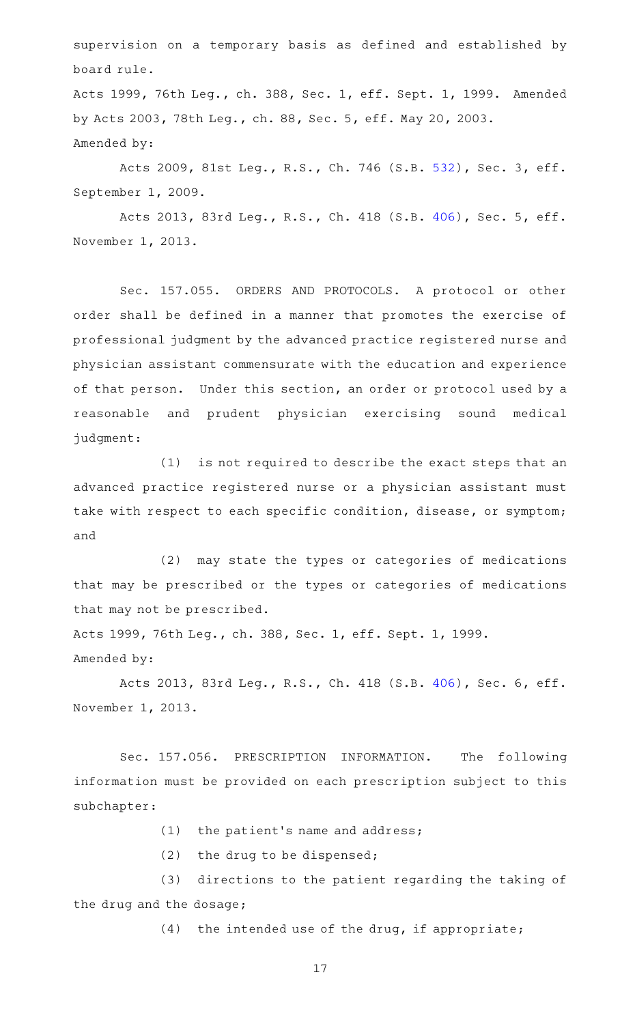supervision on a temporary basis as defined and established by board rule.

Acts 1999, 76th Leg., ch. 388, Sec. 1, eff. Sept. 1, 1999. Amended by Acts 2003, 78th Leg., ch. 88, Sec. 5, eff. May 20, 2003. Amended by:

Acts 2009, 81st Leg., R.S., Ch. 746 (S.B. [532](http://www.legis.state.tx.us/tlodocs/81R/billtext/html/SB00532F.HTM)), Sec. 3, eff. September 1, 2009.

Acts 2013, 83rd Leg., R.S., Ch. 418 (S.B. [406](http://www.legis.state.tx.us/tlodocs/83R/billtext/html/SB00406F.HTM)), Sec. 5, eff. November 1, 2013.

Sec. 157.055. ORDERS AND PROTOCOLS. A protocol or other order shall be defined in a manner that promotes the exercise of professional judgment by the advanced practice registered nurse and physician assistant commensurate with the education and experience of that person. Under this section, an order or protocol used by a reasonable and prudent physician exercising sound medical judgment:

 $(1)$  is not required to describe the exact steps that an advanced practice registered nurse or a physician assistant must take with respect to each specific condition, disease, or symptom; and

(2) may state the types or categories of medications that may be prescribed or the types or categories of medications that may not be prescribed.

Acts 1999, 76th Leg., ch. 388, Sec. 1, eff. Sept. 1, 1999. Amended by:

Acts 2013, 83rd Leg., R.S., Ch. 418 (S.B. [406](http://www.legis.state.tx.us/tlodocs/83R/billtext/html/SB00406F.HTM)), Sec. 6, eff. November 1, 2013.

Sec. 157.056. PRESCRIPTION INFORMATION. The following information must be provided on each prescription subject to this subchapter:

- $(1)$  the patient's name and address;
- (2) the drug to be dispensed;

(3) directions to the patient regarding the taking of the drug and the dosage;

 $(4)$  the intended use of the drug, if appropriate;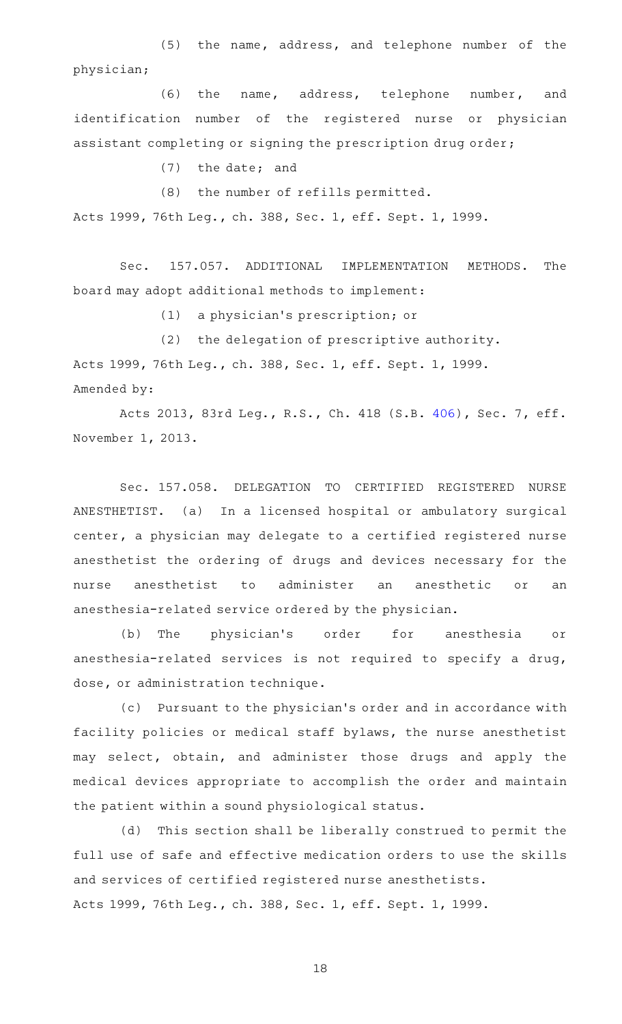(5) the name, address, and telephone number of the physician;

(6) the name, address, telephone number, and identification number of the registered nurse or physician assistant completing or signing the prescription drug order;

(7) the date; and

(8) the number of refills permitted.

Acts 1999, 76th Leg., ch. 388, Sec. 1, eff. Sept. 1, 1999.

Sec. 157.057. ADDITIONAL IMPLEMENTATION METHODS. The board may adopt additional methods to implement:

(1) a physician's prescription; or

(2) the delegation of prescriptive authority. Acts 1999, 76th Leg., ch. 388, Sec. 1, eff. Sept. 1, 1999. Amended by:

Acts 2013, 83rd Leg., R.S., Ch. 418 (S.B. [406](http://www.legis.state.tx.us/tlodocs/83R/billtext/html/SB00406F.HTM)), Sec. 7, eff. November 1, 2013.

Sec. 157.058. DELEGATION TO CERTIFIED REGISTERED NURSE ANESTHETIST. (a) In a licensed hospital or ambulatory surgical center, a physician may delegate to a certified registered nurse anesthetist the ordering of drugs and devices necessary for the nurse anesthetist to administer an anesthetic or an anesthesia-related service ordered by the physician.

(b) The physician's order for anesthesia or anesthesia-related services is not required to specify a drug, dose, or administration technique.

(c) Pursuant to the physician's order and in accordance with facility policies or medical staff bylaws, the nurse anesthetist may select, obtain, and administer those drugs and apply the medical devices appropriate to accomplish the order and maintain the patient within a sound physiological status.

(d) This section shall be liberally construed to permit the full use of safe and effective medication orders to use the skills and services of certified registered nurse anesthetists. Acts 1999, 76th Leg., ch. 388, Sec. 1, eff. Sept. 1, 1999.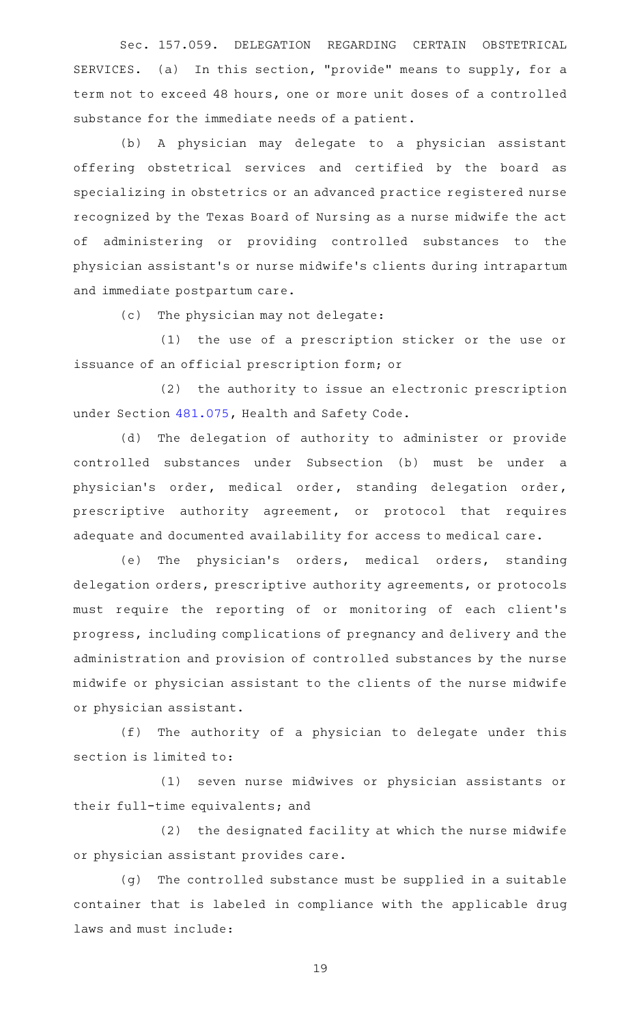Sec. 157.059. DELEGATION REGARDING CERTAIN OBSTETRICAL SERVICES. (a) In this section, "provide" means to supply, for a term not to exceed 48 hours, one or more unit doses of a controlled substance for the immediate needs of a patient.

(b) A physician may delegate to a physician assistant offering obstetrical services and certified by the board as specializing in obstetrics or an advanced practice registered nurse recognized by the Texas Board of Nursing as a nurse midwife the act of administering or providing controlled substances to the physician assistant 's or nurse midwife 's clients during intrapartum and immediate postpartum care.

(c) The physician may not delegate:

(1) the use of a prescription sticker or the use or issuance of an official prescription form; or

(2) the authority to issue an electronic prescription under Section [481.075](http://www.statutes.legis.state.tx.us/GetStatute.aspx?Code=HS&Value=481.075), Health and Safety Code.

(d) The delegation of authority to administer or provide controlled substances under Subsection (b) must be under a physician's order, medical order, standing delegation order, prescriptive authority agreement, or protocol that requires adequate and documented availability for access to medical care.

(e) The physician's orders, medical orders, standing delegation orders, prescriptive authority agreements, or protocols must require the reporting of or monitoring of each client 's progress, including complications of pregnancy and delivery and the administration and provision of controlled substances by the nurse midwife or physician assistant to the clients of the nurse midwife or physician assistant.

(f) The authority of a physician to delegate under this section is limited to:

(1) seven nurse midwives or physician assistants or their full-time equivalents; and

(2) the designated facility at which the nurse midwife or physician assistant provides care.

(g) The controlled substance must be supplied in a suitable container that is labeled in compliance with the applicable drug laws and must include: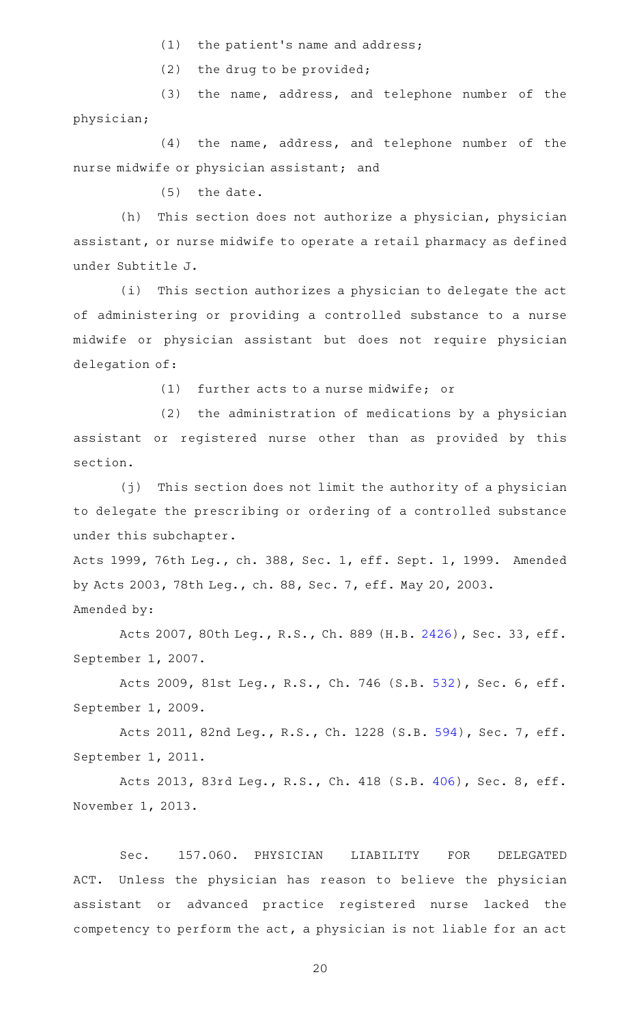$(1)$  the patient's name and address;

 $(2)$  the drug to be provided;

(3) the name, address, and telephone number of the physician;

 $(4)$  the name, address, and telephone number of the nurse midwife or physician assistant; and

 $(5)$  the date.

(h) This section does not authorize a physician, physician assistant, or nurse midwife to operate a retail pharmacy as defined under Subtitle J.

(i) This section authorizes a physician to delegate the act of administering or providing a controlled substance to a nurse midwife or physician assistant but does not require physician delegation of:

 $(1)$  further acts to a nurse midwife; or

 $(2)$  the administration of medications by a physician assistant or registered nurse other than as provided by this section.

 $(j)$  This section does not limit the authority of a physician to delegate the prescribing or ordering of a controlled substance under this subchapter.

Acts 1999, 76th Leg., ch. 388, Sec. 1, eff. Sept. 1, 1999. Amended by Acts 2003, 78th Leg., ch. 88, Sec. 7, eff. May 20, 2003. Amended by:

Acts 2007, 80th Leg., R.S., Ch. 889 (H.B. [2426\)](http://www.legis.state.tx.us/tlodocs/80R/billtext/html/HB02426F.HTM), Sec. 33, eff. September 1, 2007.

Acts 2009, 81st Leg., R.S., Ch. 746 (S.B. [532](http://www.legis.state.tx.us/tlodocs/81R/billtext/html/SB00532F.HTM)), Sec. 6, eff. September 1, 2009.

Acts 2011, 82nd Leg., R.S., Ch. 1228 (S.B. [594](http://www.legis.state.tx.us/tlodocs/82R/billtext/html/SB00594F.HTM)), Sec. 7, eff. September 1, 2011.

Acts 2013, 83rd Leg., R.S., Ch. 418 (S.B. [406](http://www.legis.state.tx.us/tlodocs/83R/billtext/html/SB00406F.HTM)), Sec. 8, eff. November 1, 2013.

Sec. 157.060. PHYSICIAN LIABILITY FOR DELEGATED ACT. Unless the physician has reason to believe the physician assistant or advanced practice registered nurse lacked the competency to perform the act, a physician is not liable for an act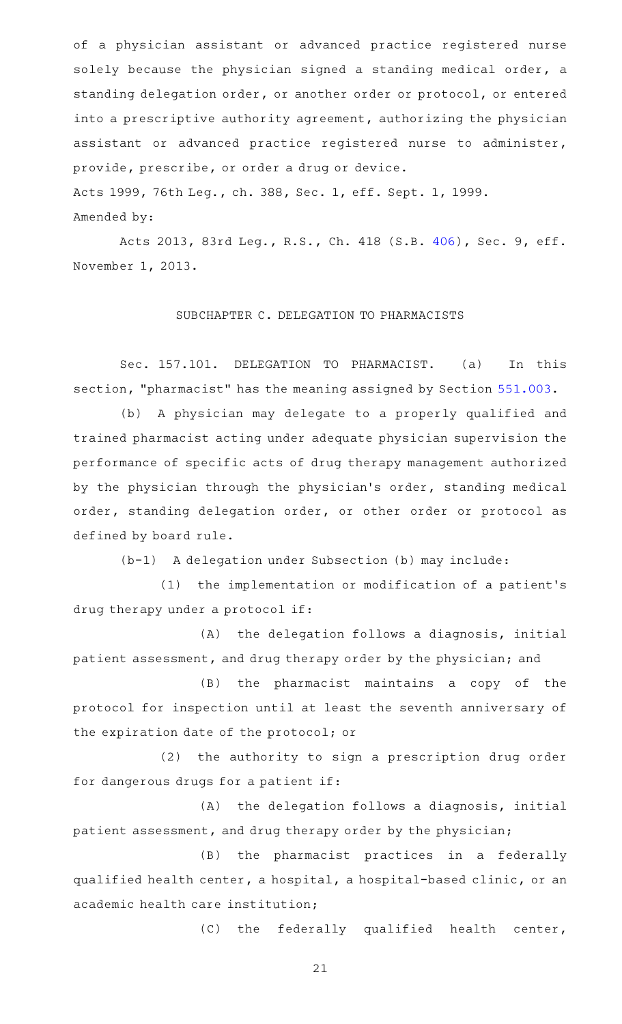of a physician assistant or advanced practice registered nurse solely because the physician signed a standing medical order, a standing delegation order, or another order or protocol, or entered into a prescriptive authority agreement, authorizing the physician assistant or advanced practice registered nurse to administer, provide, prescribe, or order a drug or device. Acts 1999, 76th Leg., ch. 388, Sec. 1, eff. Sept. 1, 1999.

Amended by:

Acts 2013, 83rd Leg., R.S., Ch. 418 (S.B. [406](http://www.legis.state.tx.us/tlodocs/83R/billtext/html/SB00406F.HTM)), Sec. 9, eff. November 1, 2013.

## SUBCHAPTER C. DELEGATION TO PHARMACISTS

Sec. 157.101. DELEGATION TO PHARMACIST. (a) In this section, "pharmacist" has the meaning assigned by Section [551.003](http://www.statutes.legis.state.tx.us/GetStatute.aspx?Code=OC&Value=551.003).

(b) A physician may delegate to a properly qualified and trained pharmacist acting under adequate physician supervision the performance of specific acts of drug therapy management authorized by the physician through the physician 's order, standing medical order, standing delegation order, or other order or protocol as defined by board rule.

(b-1) A delegation under Subsection (b) may include:

(1) the implementation or modification of a patient's drug therapy under a protocol if:

(A) the delegation follows a diagnosis, initial patient assessment, and drug therapy order by the physician; and

(B) the pharmacist maintains a copy of the protocol for inspection until at least the seventh anniversary of the expiration date of the protocol; or

(2) the authority to sign a prescription drug order for dangerous drugs for a patient if:

(A) the delegation follows a diagnosis, initial patient assessment, and drug therapy order by the physician;

(B) the pharmacist practices in a federally qualified health center, a hospital, a hospital-based clinic, or an academic health care institution;

(C) the federally qualified health center,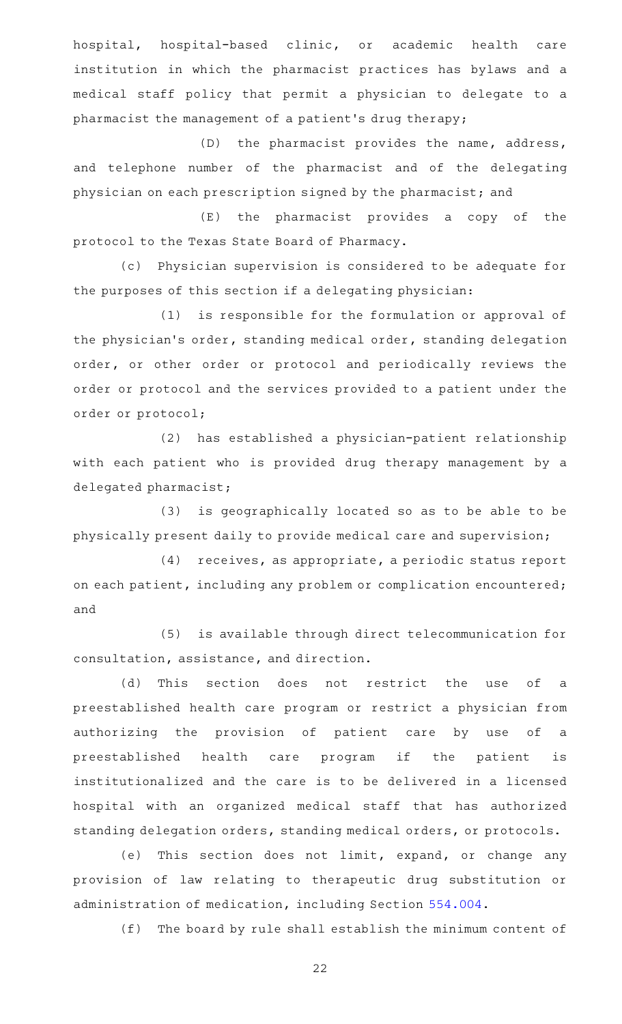hospital, hospital-based clinic, or academic health care institution in which the pharmacist practices has bylaws and a medical staff policy that permit a physician to delegate to a pharmacist the management of a patient 's drug therapy;

(D) the pharmacist provides the name, address, and telephone number of the pharmacist and of the delegating physician on each prescription signed by the pharmacist; and

(E) the pharmacist provides a copy of the protocol to the Texas State Board of Pharmacy.

(c) Physician supervision is considered to be adequate for the purposes of this section if a delegating physician:

(1) is responsible for the formulation or approval of the physician 's order, standing medical order, standing delegation order, or other order or protocol and periodically reviews the order or protocol and the services provided to a patient under the order or protocol;

(2) has established a physician-patient relationship with each patient who is provided drug therapy management by a delegated pharmacist;

(3) is geographically located so as to be able to be physically present daily to provide medical care and supervision;

(4) receives, as appropriate, a periodic status report on each patient, including any problem or complication encountered; and

(5) is available through direct telecommunication for consultation, assistance, and direction.

(d) This section does not restrict the use of a preestablished health care program or restrict a physician from authorizing the provision of patient care by use of a preestablished health care program if the patient is institutionalized and the care is to be delivered in a licensed hospital with an organized medical staff that has authorized standing delegation orders, standing medical orders, or protocols.

(e) This section does not limit, expand, or change any provision of law relating to therapeutic drug substitution or administration of medication, including Section [554.004.](http://www.statutes.legis.state.tx.us/GetStatute.aspx?Code=OC&Value=554.004)

(f) The board by rule shall establish the minimum content of